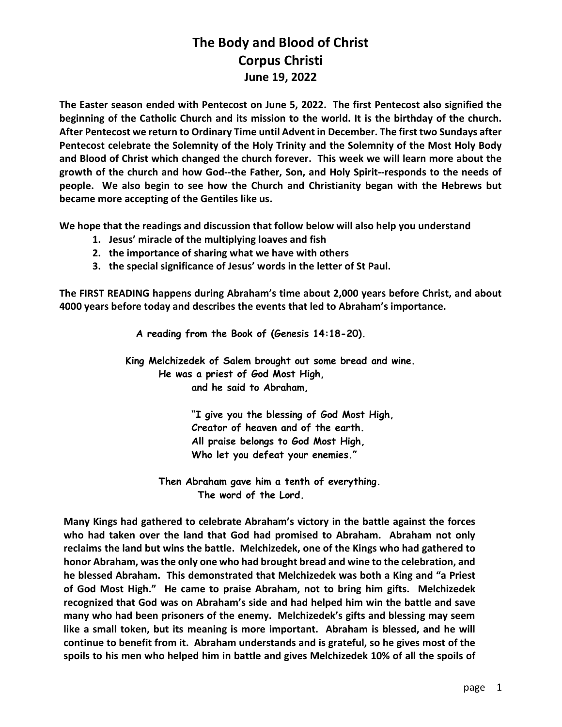The Easter season ended with Pentecost on June 5, 2022. The first Pentecost also signified the beginning of the Catholic Church and its mission to the world. It is the birthday of the church. After Pentecost we return to Ordinary Time until Advent in December. The first two Sundays after Pentecost celebrate the Solemnity of the Holy Trinity and the Solemnity of the Most Holy Body and Blood of Christ which changed the church forever. This week we will learn more about the growth of the church and how God--the Father, Son, and Holy Spirit--responds to the needs of people. We also begin to see how the Church and Christianity began with the Hebrews but became more accepting of the Gentiles like us.

We hope that the readings and discussion that follow below will also help you understand

- 1. Jesus' miracle of the multiplying loaves and fish
- 2. the importance of sharing what we have with others
- 3. the special significance of Jesus' words in the letter of St Paul.

The FIRST READING happens during Abraham's time about 2,000 years before Christ, and about 4000 years before today and describes the events that led to Abraham's importance.

A reading from the Book of (Genesis 14:18-20).

 King Melchizedek of Salem brought out some bread and wine. He was a priest of God Most High, and he said to Abraham,

> "I give you the blessing of God Most High, Creator of heaven and of the earth. All praise belongs to God Most High, Who let you defeat your enemies."

 Then Abraham gave him a tenth of everything. The word of the Lord.

Many Kings had gathered to celebrate Abraham's victory in the battle against the forces who had taken over the land that God had promised to Abraham. Abraham not only reclaims the land but wins the battle. Melchizedek, one of the Kings who had gathered to honor Abraham, was the only one who had brought bread and wine to the celebration, and he blessed Abraham. This demonstrated that Melchizedek was both a King and "a Priest of God Most High." He came to praise Abraham, not to bring him gifts. Melchizedek recognized that God was on Abraham's side and had helped him win the battle and save many who had been prisoners of the enemy. Melchizedek's gifts and blessing may seem like a small token, but its meaning is more important. Abraham is blessed, and he will continue to benefit from it. Abraham understands and is grateful, so he gives most of the spoils to his men who helped him in battle and gives Melchizedek 10% of all the spoils of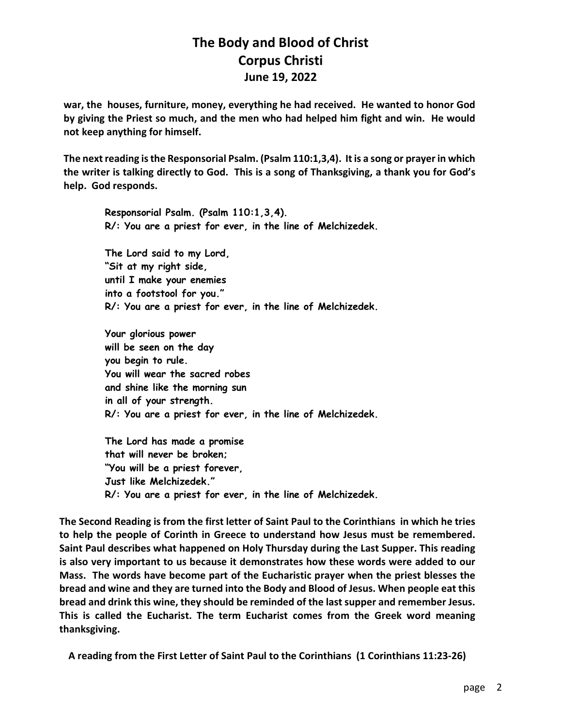war, the houses, furniture, money, everything he had received. He wanted to honor God by giving the Priest so much, and the men who had helped him fight and win. He would not keep anything for himself.

The next reading is the Responsorial Psalm. (Psalm 110:1,3,4). It is a song or prayer in which the writer is talking directly to God. This is a song of Thanksgiving, a thank you for God's help. God responds.

Responsorial Psalm. (Psalm 110:1,3,4). R/: You are a priest for ever, in the line of Melchizedek. The Lord said to my Lord, "Sit at my right side, until I make your enemies into a footstool for you."

R/: You are a priest for ever, in the line of Melchizedek.

Your glorious power will be seen on the day you begin to rule. You will wear the sacred robes and shine like the morning sun in all of your strength. R/: You are a priest for ever, in the line of Melchizedek.

The Lord has made a promise that will never be broken; "You will be a priest forever, Just like Melchizedek." R/: You are a priest for ever, in the line of Melchizedek.

The Second Reading is from the first letter of Saint Paul to the Corinthians in which he tries to help the people of Corinth in Greece to understand how Jesus must be remembered. Saint Paul describes what happened on Holy Thursday during the Last Supper. This reading is also very important to us because it demonstrates how these words were added to our Mass. The words have become part of the Eucharistic prayer when the priest blesses the bread and wine and they are turned into the Body and Blood of Jesus. When people eat this bread and drink this wine, they should be reminded of the last supper and remember Jesus. This is called the Eucharist. The term Eucharist comes from the Greek word meaning thanksgiving.

A reading from the First Letter of Saint Paul to the Corinthians (1 Corinthians 11:23-26)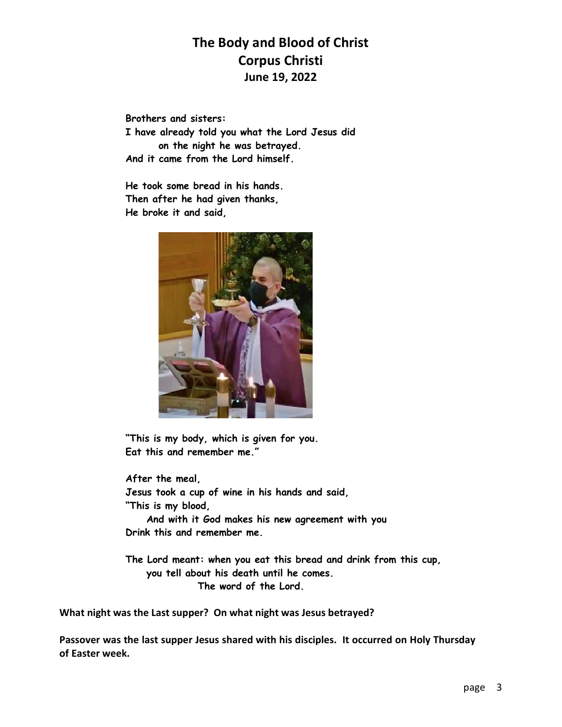Brothers and sisters: I have already told you what the Lord Jesus did on the night he was betrayed. And it came from the Lord himself.

He took some bread in his hands. Then after he had given thanks, He broke it and said,



"This is my body, which is given for you. Eat this and remember me."

After the meal, Jesus took a cup of wine in his hands and said, "This is my blood, And with it God makes his new agreement with you Drink this and remember me.

 The Lord meant: when you eat this bread and drink from this cup, you tell about his death until he comes. The word of the Lord.

What night was the Last supper? On what night was Jesus betrayed?

Passover was the last supper Jesus shared with his disciples. It occurred on Holy Thursday of Easter week.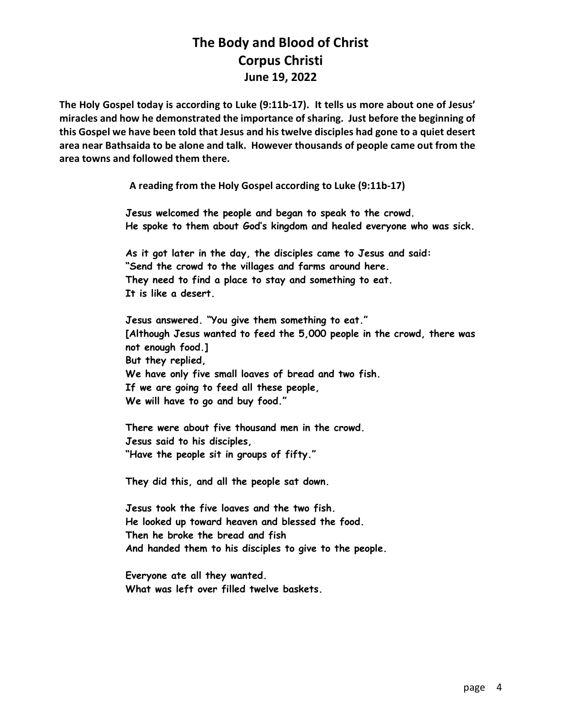The Holy Gospel today is according to Luke (9:11b-17). It tells us more about one of Jesus' miracles and how he demonstrated the importance of sharing. Just before the beginning of this Gospel we have been told that Jesus and his twelve disciples had gone to a quiet desert area near Bathsaida to be alone and talk. However thousands of people came out from the area towns and followed them there.

A reading from the Holy Gospel according to Luke (9:11b-17)

Jesus welcomed the people and began to speak to the crowd. He spoke to them about God's kingdom and healed everyone who was sick.

As it got later in the day, the disciples came to Jesus and said: "Send the crowd to the villages and farms around here. They need to find a place to stay and something to eat. It is like a desert.

Jesus answered. "You give them something to eat." [Although Jesus wanted to feed the 5,000 people in the crowd, there was not enough food.] But they replied, We have only five small loaves of bread and two fish. If we are going to feed all these people, We will have to go and buy food."

There were about five thousand men in the crowd. Jesus said to his disciples, "Have the people sit in groups of fifty."

They did this, and all the people sat down.

Jesus took the five loaves and the two fish. He looked up toward heaven and blessed the food. Then he broke the bread and fish And handed them to his disciples to give to the people.

Everyone ate all they wanted. What was left over filled twelve baskets.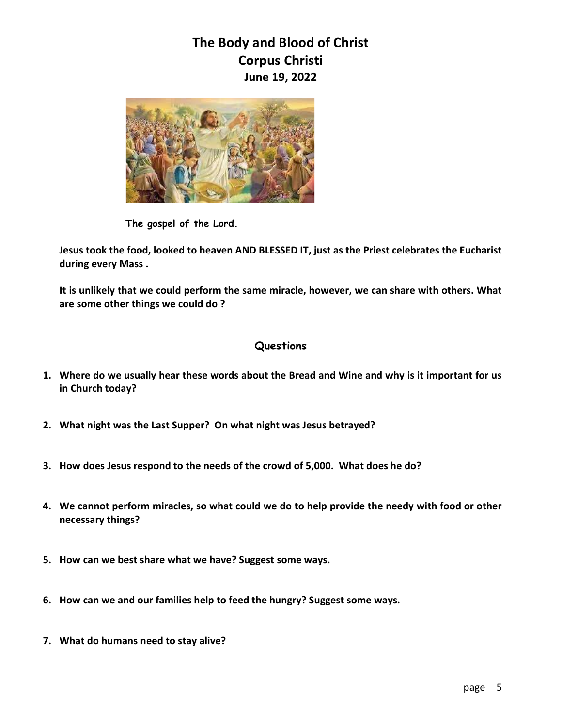

The gospel of the Lord.

Jesus took the food, looked to heaven AND BLESSED IT, just as the Priest celebrates the Eucharist during every Mass .

It is unlikely that we could perform the same miracle, however, we can share with others. What are some other things we could do ?

#### Questions

- 1. Where do we usually hear these words about the Bread and Wine and why is it important for us in Church today?
- 2. What night was the Last Supper? On what night was Jesus betrayed?
- 3. How does Jesus respond to the needs of the crowd of 5,000. What does he do?
- 4. We cannot perform miracles, so what could we do to help provide the needy with food or other necessary things?
- 5. How can we best share what we have? Suggest some ways.
- 6. How can we and our families help to feed the hungry? Suggest some ways.
- 7. What do humans need to stay alive?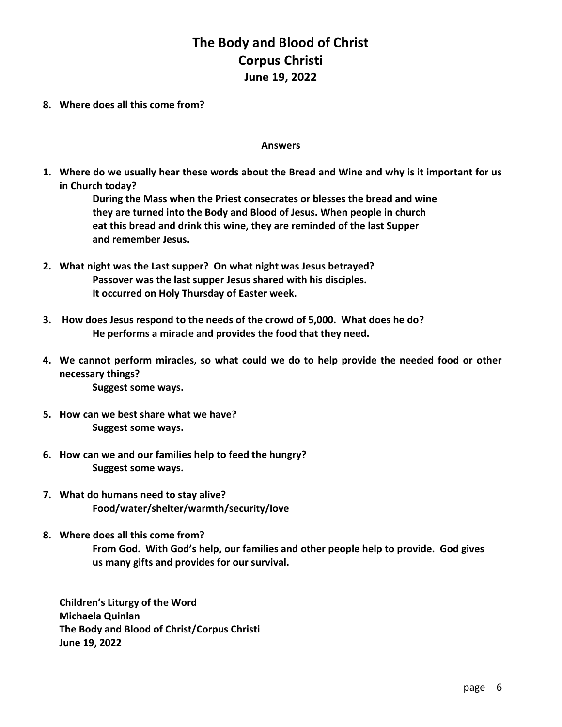8. Where does all this come from?

#### Answers

1. Where do we usually hear these words about the Bread and Wine and why is it important for us in Church today?

> During the Mass when the Priest consecrates or blesses the bread and wine they are turned into the Body and Blood of Jesus. When people in church eat this bread and drink this wine, they are reminded of the last Supper and remember Jesus.

- 2. What night was the Last supper? On what night was Jesus betrayed? Passover was the last supper Jesus shared with his disciples. It occurred on Holy Thursday of Easter week.
- 3. How does Jesus respond to the needs of the crowd of 5,000. What does he do? He performs a miracle and provides the food that they need.
- 4. We cannot perform miracles, so what could we do to help provide the needed food or other necessary things? Suggest some ways.
- 5. How can we best share what we have? Suggest some ways.
- 6. How can we and our families help to feed the hungry? Suggest some ways.
- 7. What do humans need to stay alive? Food/water/shelter/warmth/security/love
- 8. Where does all this come from? From God. With God's help, our families and other people help to provide. God gives us many gifts and provides for our survival.

Children's Liturgy of the Word Michaela Quinlan The Body and Blood of Christ/Corpus Christi June 19, 2022